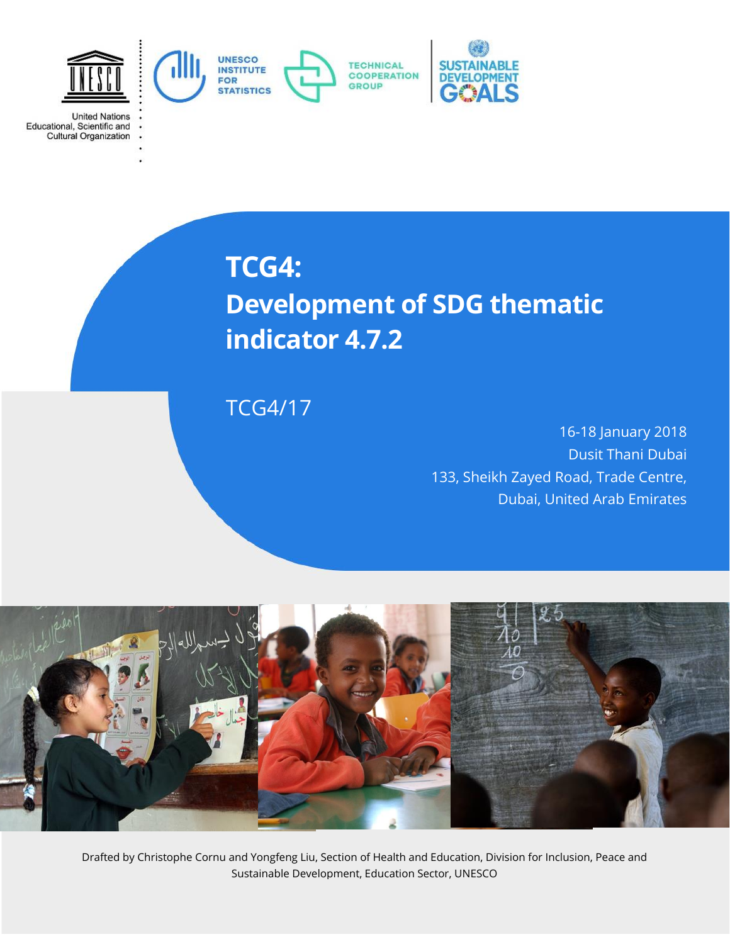

**United Nations** 

Educational, Scientific and<br>Cultural Organization

**TCG4: Development of SDG thematic indicator 4.7.2**

TCG4/17

16-18 January 2018 Dusit Thani Dubai 133, Sheikh Zayed Road, Trade Centre, Dubai, United Arab Emirates



Drafted by Christophe Cornu and Yongfeng Liu, Section of Health and Education, Division for Inclusion, Peace and Sustainable Development, Education Sector, UNESCO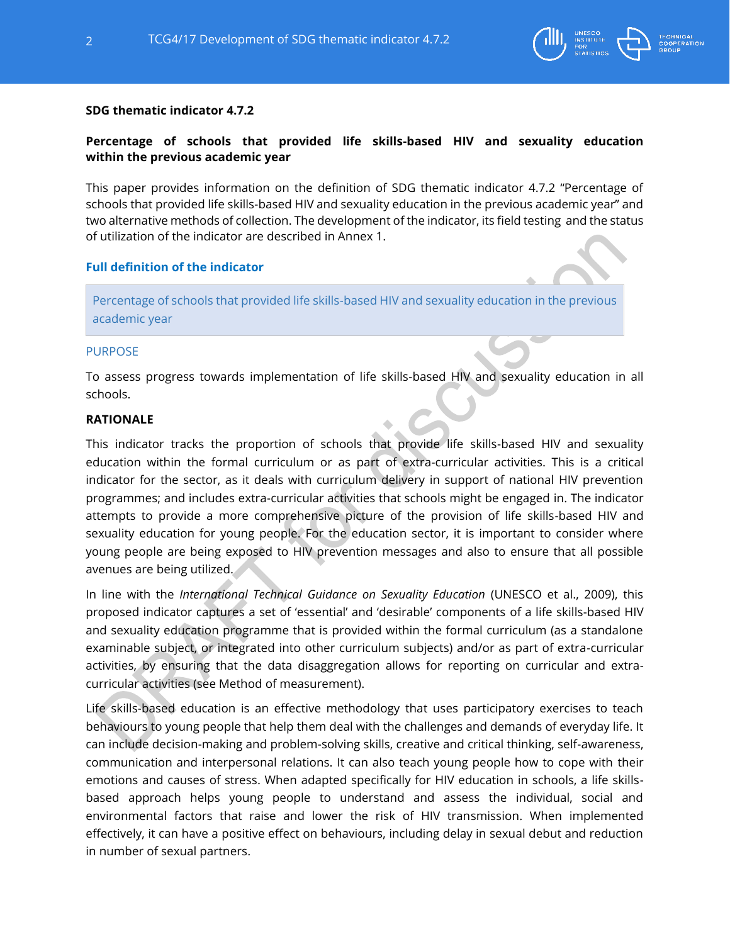

## **SDG thematic indicator 4.7.2**

# **Percentage of schools that provided life skills-based HIV and sexuality education within the previous academic year**

This paper provides information on the definition of SDG thematic indicator 4.7.2 "Percentage of schools that provided life skills-based HIV and sexuality education in the previous academic year" and two alternative methods of collection. The development of the indicator, its field testing and the status of utilization of the indicator are described in Annex 1.

### **Full definition of the indicator**

Percentage of schools that provided life skills-based HIV and sexuality education in the previous academic year

#### PURPOSE

To assess progress towards implementation of life skills-based HIV and sexuality education in all schools.

## **RATIONALE**

This indicator tracks the proportion of schools that provide life skills-based HIV and sexuality education within the formal curriculum or as part of extra-curricular activities. This is a critical indicator for the sector, as it deals with curriculum delivery in support of national HIV prevention programmes; and includes extra-curricular activities that schools might be engaged in. The indicator attempts to provide a more comprehensive picture of the provision of life skills-based HIV and sexuality education for young people. For the education sector, it is important to consider where young people are being exposed to HIV prevention messages and also to ensure that all possible avenues are being utilized.

In line with the *International Technical Guidance on Sexuality Education* (UNESCO et al., 2009), this proposed indicator captures a set of 'essential' and 'desirable' components of a life skills-based HIV and sexuality education programme that is provided within the formal curriculum (as a standalone examinable subject, or integrated into other curriculum subjects) and/or as part of extra-curricular activities, by ensuring that the data disaggregation allows for reporting on curricular and extracurricular activities (see Method of measurement).

Life skills-based education is an effective methodology that uses participatory exercises to teach behaviours to young people that help them deal with the challenges and demands of everyday life. It can include decision-making and problem-solving skills, creative and critical thinking, self-awareness, communication and interpersonal relations. It can also teach young people how to cope with their emotions and causes of stress. When adapted specifically for HIV education in schools, a life skillsbased approach helps young people to understand and assess the individual, social and environmental factors that raise and lower the risk of HIV transmission. When implemented effectively, it can have a positive effect on behaviours, including delay in sexual debut and reduction in number of sexual partners.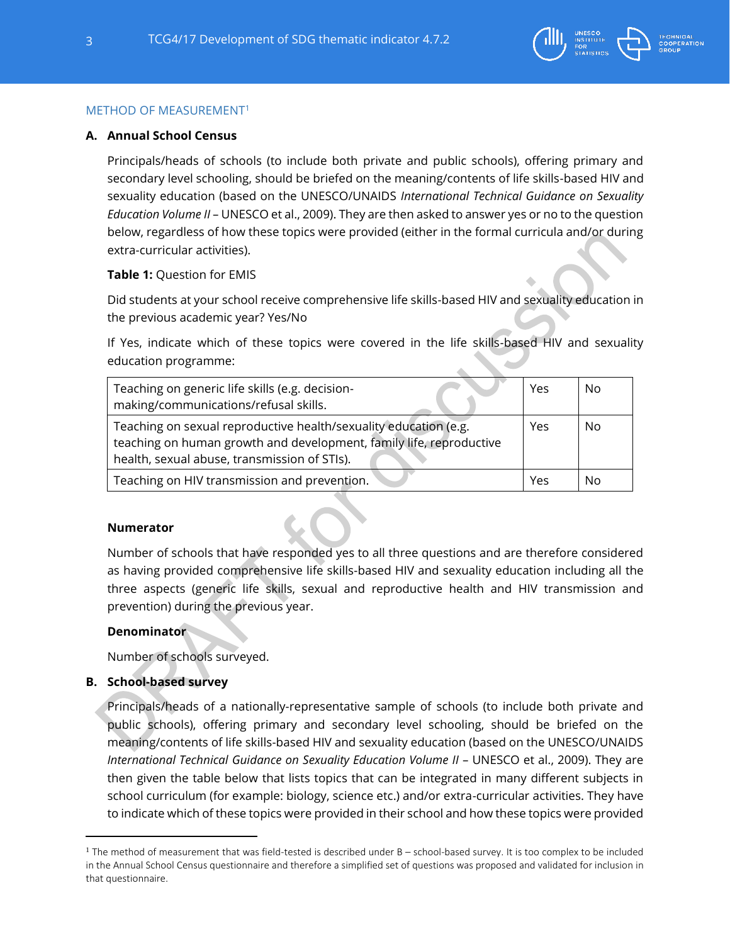

### METHOD OF MEASUREMENT<sup>1</sup>

### **A. Annual School Census**

Principals/heads of schools (to include both private and public schools), offering primary and secondary level schooling, should be briefed on the meaning/contents of life skills-based HIV and sexuality education (based on the UNESCO/UNAIDS *International Technical Guidance on Sexuality Education Volume II* – UNESCO et al., 2009). They are then asked to answer yes or no to the question below, regardless of how these topics were provided (either in the formal curricula and/or during extra-curricular activities).

### **Table 1:** Question for EMIS

Did students at your school receive comprehensive life skills-based HIV and sexuality education in the previous academic year? Yes/No

If Yes, indicate which of these topics were covered in the life skills-based HIV and sexuality education programme:

| Teaching on generic life skills (e.g. decision-<br>making/communications/refusal skills.                                                                                                | Yes | No        |
|-----------------------------------------------------------------------------------------------------------------------------------------------------------------------------------------|-----|-----------|
| Teaching on sexual reproductive health/sexuality education (e.g.<br>teaching on human growth and development, family life, reproductive<br>health, sexual abuse, transmission of STIs). |     | <b>No</b> |
| Teaching on HIV transmission and prevention.                                                                                                                                            | Yes | No        |

### **Numerator**

Number of schools that have responded yes to all three questions and are therefore considered as having provided comprehensive life skills-based HIV and sexuality education including all the three aspects (generic life skills, sexual and reproductive health and HIV transmission and prevention) during the previous year.

### **Denominator**

Number of schools surveyed.

### **B. School-based survey**

Principals/heads of a nationally-representative sample of schools (to include both private and public schools), offering primary and secondary level schooling, should be briefed on the meaning/contents of life skills-based HIV and sexuality education (based on the UNESCO/UNAIDS *International Technical Guidance on Sexuality Education Volume II* – UNESCO et al., 2009). They are then given the table below that lists topics that can be integrated in many different subjects in school curriculum (for example: biology, science etc.) and/or extra-curricular activities. They have to indicate which of these topics were provided in their school and how these topics were provided

 $1$  The method of measurement that was field-tested is described under B – school-based survey. It is too complex to be included in the Annual School Census questionnaire and therefore a simplified set of questions was proposed and validated for inclusion in that questionnaire.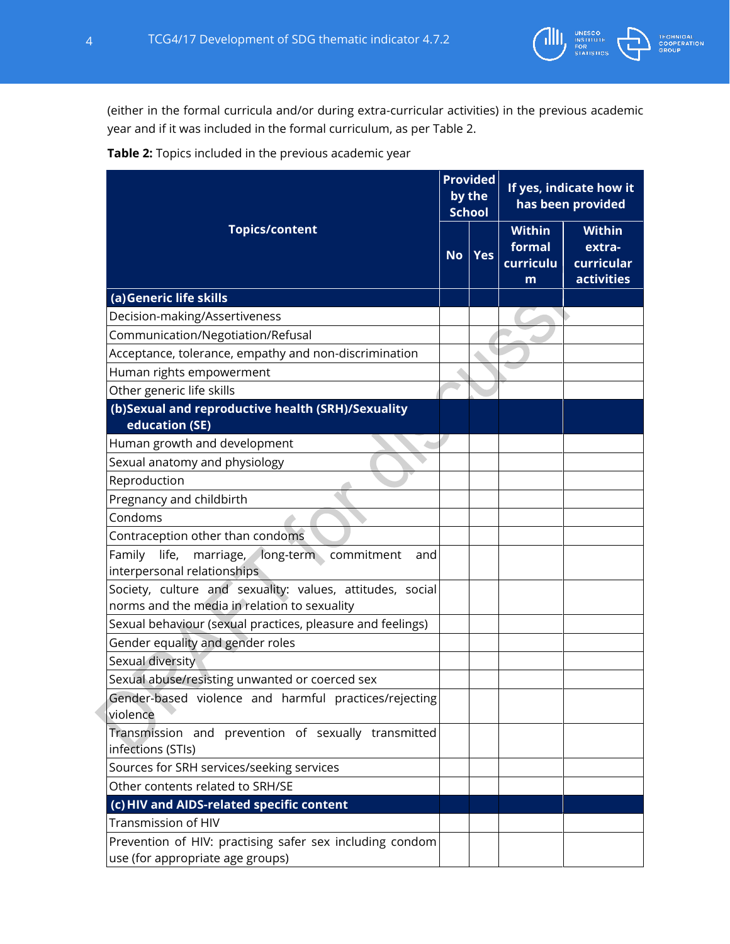

(either in the formal curricula and/or during extra-curricular activities) in the previous academic year and if it was included in the formal curriculum, as per Table 2.



|                                                                                                           |           | <b>Provided</b><br>by the<br><b>School</b> | If yes, indicate how it<br>has been provided |                                                            |
|-----------------------------------------------------------------------------------------------------------|-----------|--------------------------------------------|----------------------------------------------|------------------------------------------------------------|
| <b>Topics/content</b>                                                                                     | <b>No</b> | <b>Yes</b>                                 | <b>Within</b><br>formal<br>curriculu<br>m    | <b>Within</b><br>extra-<br>curricular<br><b>activities</b> |
| (a)Generic life skills                                                                                    |           |                                            |                                              |                                                            |
| Decision-making/Assertiveness                                                                             |           |                                            |                                              |                                                            |
| Communication/Negotiation/Refusal                                                                         |           |                                            |                                              |                                                            |
| Acceptance, tolerance, empathy and non-discrimination                                                     |           |                                            |                                              |                                                            |
| Human rights empowerment                                                                                  |           |                                            |                                              |                                                            |
| Other generic life skills                                                                                 |           |                                            |                                              |                                                            |
| (b)Sexual and reproductive health (SRH)/Sexuality<br>education (SE)                                       |           |                                            |                                              |                                                            |
| Human growth and development                                                                              |           |                                            |                                              |                                                            |
| Sexual anatomy and physiology                                                                             |           |                                            |                                              |                                                            |
| Reproduction                                                                                              |           |                                            |                                              |                                                            |
| Pregnancy and childbirth                                                                                  |           |                                            |                                              |                                                            |
| Condoms                                                                                                   |           |                                            |                                              |                                                            |
| Contraception other than condoms                                                                          |           |                                            |                                              |                                                            |
| Family<br>long-term commitment<br>life,<br>marriage,<br>and<br>interpersonal relationships                |           |                                            |                                              |                                                            |
| Society, culture and sexuality: values, attitudes, social<br>norms and the media in relation to sexuality |           |                                            |                                              |                                                            |
| Sexual behaviour (sexual practices, pleasure and feelings)                                                |           |                                            |                                              |                                                            |
| Gender equality and gender roles                                                                          |           |                                            |                                              |                                                            |
| Sexual diversity                                                                                          |           |                                            |                                              |                                                            |
| Sexual abuse/resisting unwanted or coerced sex                                                            |           |                                            |                                              |                                                            |
| Gender-based violence and harmful practices/rejecting<br>violence                                         |           |                                            |                                              |                                                            |
| Transmission and prevention of sexually transmitted<br>infections (STIs)                                  |           |                                            |                                              |                                                            |
| Sources for SRH services/seeking services                                                                 |           |                                            |                                              |                                                            |
| Other contents related to SRH/SE                                                                          |           |                                            |                                              |                                                            |
| (c) HIV and AIDS-related specific content                                                                 |           |                                            |                                              |                                                            |
| <b>Transmission of HIV</b>                                                                                |           |                                            |                                              |                                                            |
| Prevention of HIV: practising safer sex including condom<br>use (for appropriate age groups)              |           |                                            |                                              |                                                            |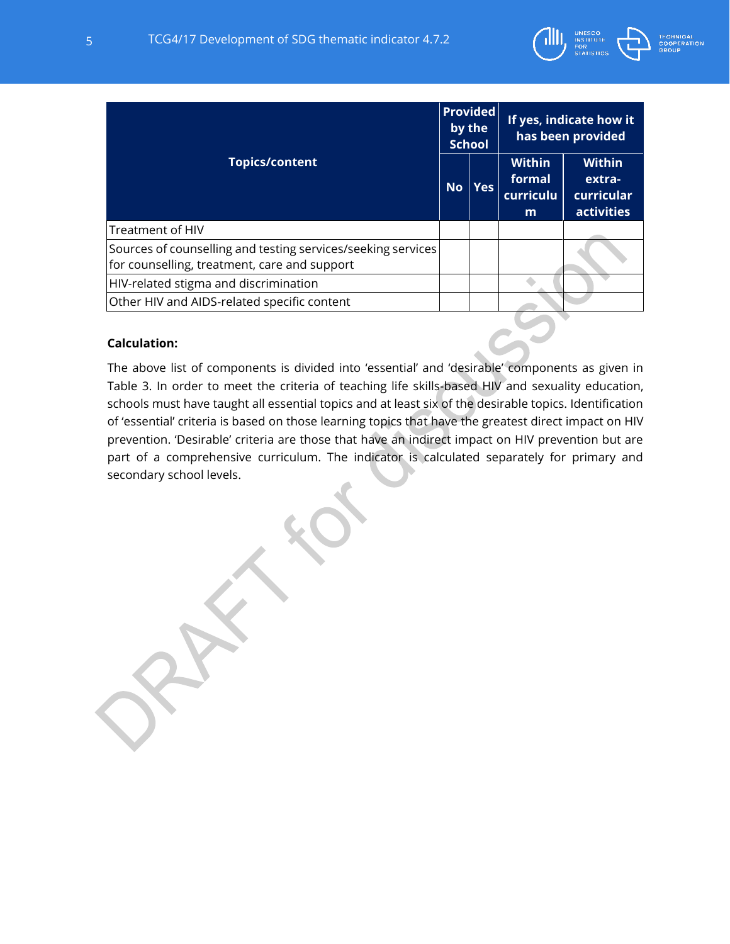

| <b>TECHNICAL</b>   |  |
|--------------------|--|
| <b>COOPERATION</b> |  |
| <b>GROUP</b>       |  |

| <b>Topics/content</b>                                                                                        |  | <b>Provided</b><br>by the<br><b>School</b> | If yes, indicate how it<br>has been provided |                                                            |
|--------------------------------------------------------------------------------------------------------------|--|--------------------------------------------|----------------------------------------------|------------------------------------------------------------|
|                                                                                                              |  | <b>Yes</b>                                 | <b>Within</b><br>formal<br>curriculu<br>m    | <b>Within</b><br>extra-<br>curricular<br><b>activities</b> |
| Treatment of HIV                                                                                             |  |                                            |                                              |                                                            |
| Sources of counselling and testing services/seeking services<br>for counselling, treatment, care and support |  |                                            |                                              |                                                            |
| HIV-related stigma and discrimination                                                                        |  |                                            |                                              |                                                            |
| Other HIV and AIDS-related specific content                                                                  |  |                                            |                                              |                                                            |

## **Calculation:**

The above list of components is divided into 'essential' and 'desirable' components as given in Table 3. In order to meet the criteria of teaching life skills-based HIV and sexuality education, schools must have taught all essential topics and at least six of the desirable topics. Identification of 'essential' criteria is based on those learning topics that have the greatest direct impact on HIV prevention. 'Desirable' criteria are those that have an indirect impact on HIV prevention but are part of a comprehensive curriculum. The indicator is calculated separately for primary and secondary school levels.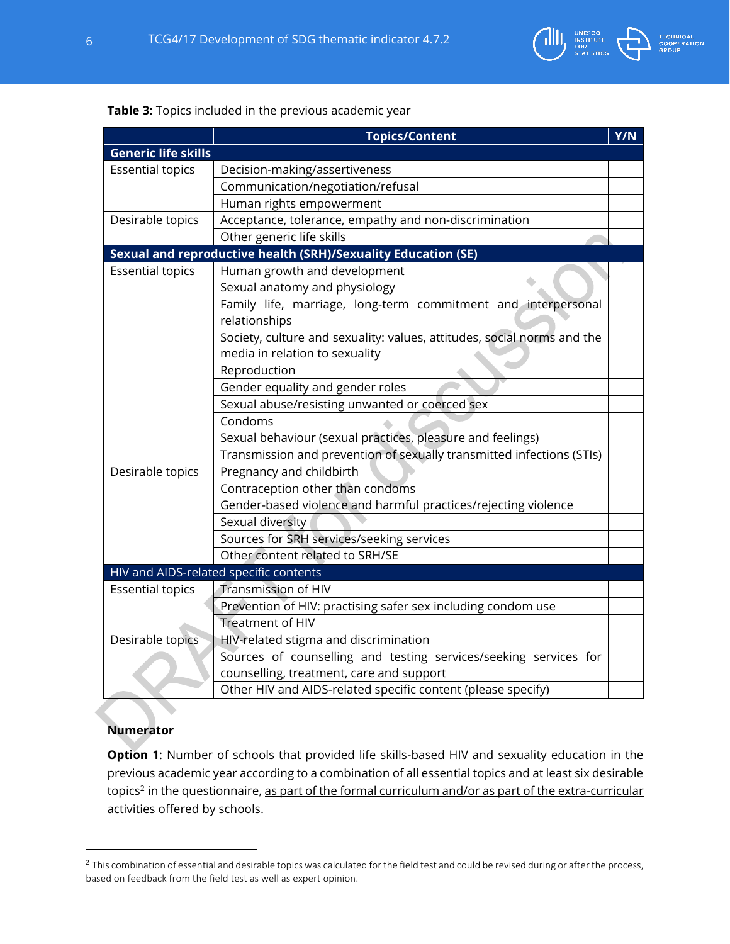

## **Table 3:** Topics included in the previous academic year

|                                                            | <b>Topics/Content</b>                                                   | Y/N |  |  |  |  |  |
|------------------------------------------------------------|-------------------------------------------------------------------------|-----|--|--|--|--|--|
| <b>Generic life skills</b>                                 |                                                                         |     |  |  |  |  |  |
| <b>Essential topics</b>                                    | Decision-making/assertiveness                                           |     |  |  |  |  |  |
|                                                            | Communication/negotiation/refusal                                       |     |  |  |  |  |  |
|                                                            | Human rights empowerment                                                |     |  |  |  |  |  |
| Desirable topics                                           | Acceptance, tolerance, empathy and non-discrimination                   |     |  |  |  |  |  |
|                                                            | Other generic life skills                                               |     |  |  |  |  |  |
|                                                            | Sexual and reproductive health (SRH)/Sexuality Education (SE)           |     |  |  |  |  |  |
| <b>Essential topics</b>                                    | Human growth and development                                            |     |  |  |  |  |  |
|                                                            | Sexual anatomy and physiology                                           |     |  |  |  |  |  |
|                                                            | Family life, marriage, long-term commitment and interpersonal           |     |  |  |  |  |  |
|                                                            | relationships                                                           |     |  |  |  |  |  |
|                                                            | Society, culture and sexuality: values, attitudes, social norms and the |     |  |  |  |  |  |
|                                                            | media in relation to sexuality                                          |     |  |  |  |  |  |
|                                                            | Reproduction                                                            |     |  |  |  |  |  |
|                                                            | Gender equality and gender roles                                        |     |  |  |  |  |  |
|                                                            | Sexual abuse/resisting unwanted or coerced sex                          |     |  |  |  |  |  |
|                                                            | Condoms                                                                 |     |  |  |  |  |  |
| Sexual behaviour (sexual practices, pleasure and feelings) |                                                                         |     |  |  |  |  |  |
|                                                            | Transmission and prevention of sexually transmitted infections (STIs)   |     |  |  |  |  |  |
| Desirable topics                                           | Pregnancy and childbirth                                                |     |  |  |  |  |  |
|                                                            | Contraception other than condoms                                        |     |  |  |  |  |  |
|                                                            | Gender-based violence and harmful practices/rejecting violence          |     |  |  |  |  |  |
|                                                            | Sexual diversity                                                        |     |  |  |  |  |  |
|                                                            | Sources for SRH services/seeking services                               |     |  |  |  |  |  |
|                                                            | Other content related to SRH/SE                                         |     |  |  |  |  |  |
| HIV and AIDS-related specific contents                     |                                                                         |     |  |  |  |  |  |
| <b>Essential topics</b>                                    | <b>Transmission of HIV</b>                                              |     |  |  |  |  |  |
|                                                            | Prevention of HIV: practising safer sex including condom use            |     |  |  |  |  |  |
|                                                            | <b>Treatment of HIV</b>                                                 |     |  |  |  |  |  |
| Desirable topics                                           | HIV-related stigma and discrimination                                   |     |  |  |  |  |  |
|                                                            | Sources of counselling and testing services/seeking services for        |     |  |  |  |  |  |
|                                                            | counselling, treatment, care and support                                |     |  |  |  |  |  |
|                                                            | Other HIV and AIDS-related specific content (please specify)            |     |  |  |  |  |  |

## **Numerator**

**Option 1**: Number of schools that provided life skills-based HIV and sexuality education in the previous academic year according to a combination of all essential topics and at least six desirable topics<sup>2</sup> in the questionnaire, <u>as part of the formal curriculum and/or as part of the extra-curricular</u> activities offered by schools.

<sup>&</sup>lt;sup>2</sup> This combination of essential and desirable topics was calculated for the field test and could be revised during or after the process, based on feedback from the field test as well as expert opinion.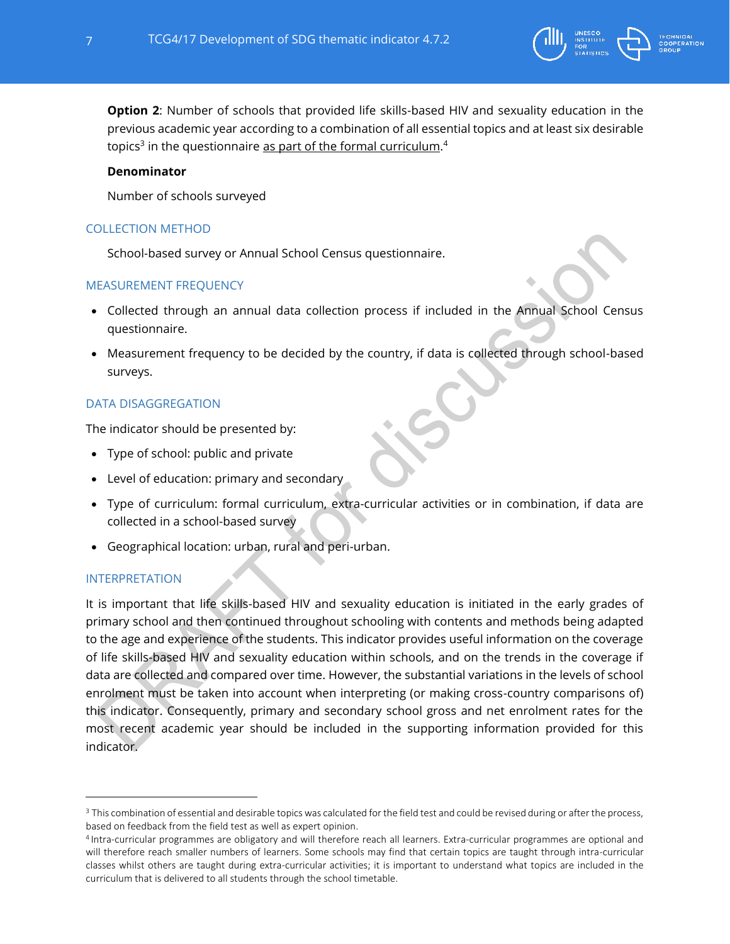

**Option 2**: Number of schools that provided life skills-based HIV and sexuality education in the previous academic year according to a combination of all essential topics and at least six desirable topics<sup>3</sup> in the questionnaire <u>as part of the formal curriculum</u>.<sup>4</sup>

## **Denominator**

Number of schools surveyed

## COLLECTION METHOD

School-based survey or Annual School Census questionnaire.

# MEASUREMENT FREQUENCY

- Collected through an annual data collection process if included in the Annual School Census questionnaire.
- Measurement frequency to be decided by the country, if data is collected through school-based surveys.

# DATA DISAGGREGATION

The indicator should be presented by:

- Type of school: public and private
- Level of education: primary and secondary
- Type of curriculum: formal curriculum, extra-curricular activities or in combination, if data are collected in a school-based survey
- Geographical location: urban, rural and peri-urban.

# INTERPRETATION

It is important that life skills-based HIV and sexuality education is initiated in the early grades of primary school and then continued throughout schooling with contents and methods being adapted to the age and experience of the students. This indicator provides useful information on the coverage of life skills-based HIV and sexuality education within schools, and on the trends in the coverage if data are collected and compared over time. However, the substantial variations in the levels of school enrolment must be taken into account when interpreting (or making cross-country comparisons of) this indicator. Consequently, primary and secondary school gross and net enrolment rates for the most recent academic year should be included in the supporting information provided for this indicator.

<sup>&</sup>lt;sup>3</sup> This combination of essential and desirable topics was calculated for the field test and could be revised during or after the process, based on feedback from the field test as well as expert opinion.

<sup>4</sup> Intra-curricular programmes are obligatory and will therefore reach all learners. Extra-curricular programmes are optional and will therefore reach smaller numbers of learners. Some schools may find that certain topics are taught through intra-curricular classes whilst others are taught during extra-curricular activities; it is important to understand what topics are included in the curriculum that is delivered to all students through the school timetable.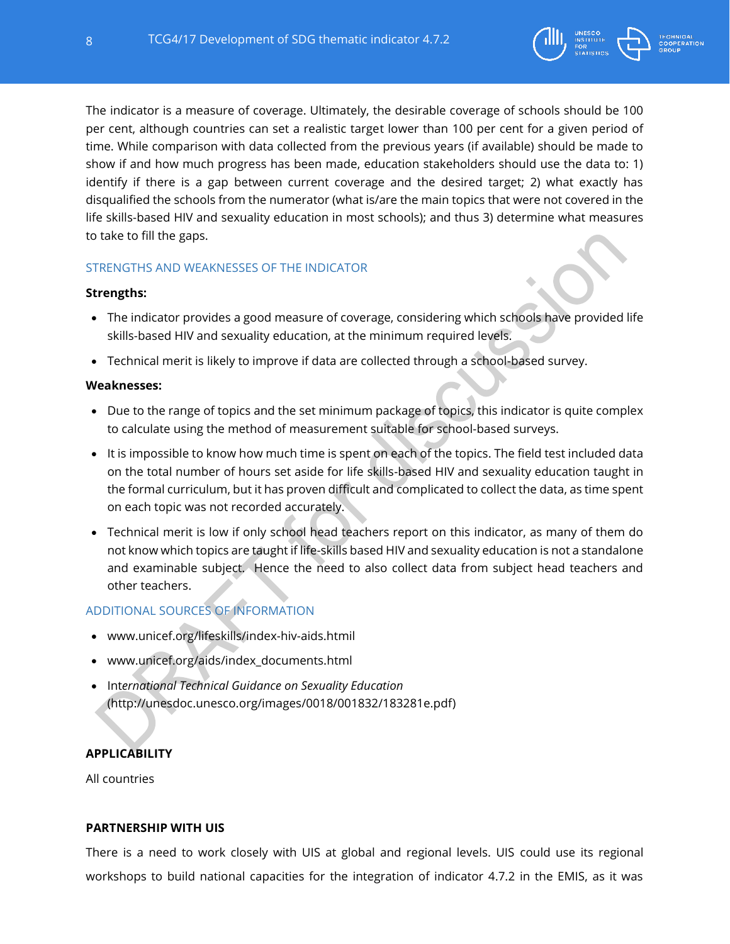

The indicator is a measure of coverage. Ultimately, the desirable coverage of schools should be 100 per cent, although countries can set a realistic target lower than 100 per cent for a given period of time. While comparison with data collected from the previous years (if available) should be made to show if and how much progress has been made, education stakeholders should use the data to: 1) identify if there is a gap between current coverage and the desired target; 2) what exactly has disqualified the schools from the numerator (what is/are the main topics that were not covered in the life skills-based HIV and sexuality education in most schools); and thus 3) determine what measures to take to fill the gaps.

# STRENGTHS AND WEAKNESSES OF THE INDICATOR

### **Strengths:**

- The indicator provides a good measure of coverage, considering which schools have provided life skills-based HIV and sexuality education, at the minimum required levels.
- Technical merit is likely to improve if data are collected through a school-based survey.

### **Weaknesses:**

- Due to the range of topics and the set minimum package of topics, this indicator is quite complex to calculate using the method of measurement suitable for school-based surveys.
- It is impossible to know how much time is spent on each of the topics. The field test included data on the total number of hours set aside for life skills-based HIV and sexuality education taught in the formal curriculum, but it has proven difficult and complicated to collect the data, as time spent on each topic was not recorded accurately.
- Technical merit is low if only school head teachers report on this indicator, as many of them do not know which topics are taught if life-skills based HIV and sexuality education is not a standalone and examinable subject. Hence the need to also collect data from subject head teachers and other teachers.

# ADDITIONAL SOURCES OF INFORMATION

- [www.unicef.org/lifeskills/i](http://www.unicef.org/lifeskills/)ndex-hiv-aids.htmil
- [www.unicef.org/aids/i](http://www.unicef.org/aids/)ndex\_documents.html
- Int*ernational Technical Guidance on Sexuality Education* [\(http://unesdoc.unesco.org/images/0018/001832/183281e.pdf\)](http://unesdoc.unesco.org/images/0018/001832/183281e.pdf)

## **APPLICABILITY**

All countries

### **PARTNERSHIP WITH UIS**

There is a need to work closely with UIS at global and regional levels. UIS could use its regional workshops to build national capacities for the integration of indicator 4.7.2 in the EMIS, as it was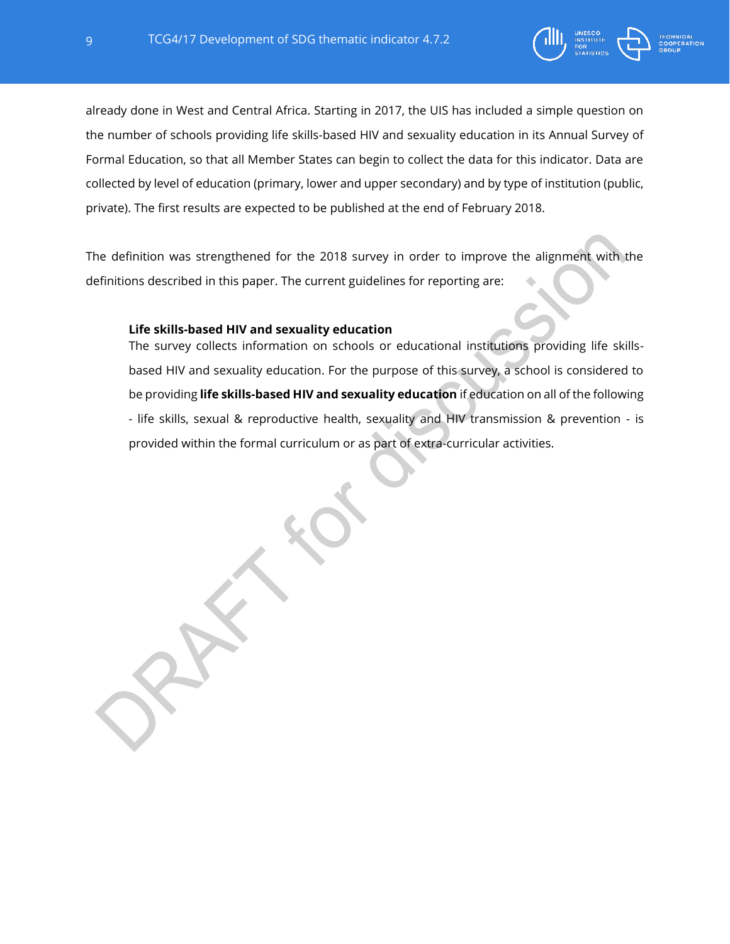

already done in West and Central Africa. Starting in 2017, the UIS has included a simple question on the number of schools providing life skills-based HIV and sexuality education in its Annual Survey of Formal Education, so that all Member States can begin to collect the data for this indicator. Data are collected by level of education (primary, lower and upper secondary) and by type of institution (public, private). The first results are expected to be published at the end of February 2018.

The definition was strengthened for the 2018 survey in order to improve the alignment with the definitions described in this paper. The current guidelines for reporting are:

### **Life skills-based HIV and sexuality education**

The survey collects information on schools or educational institutions providing life skillsbased HIV and sexuality education. For the purpose of this survey, a school is considered to be providing **life skills-based HIV and sexuality education** if education on all of the following - life skills, sexual & reproductive health, sexuality and HIV transmission & prevention - is provided within the formal curriculum or as part of extra-curricular activities.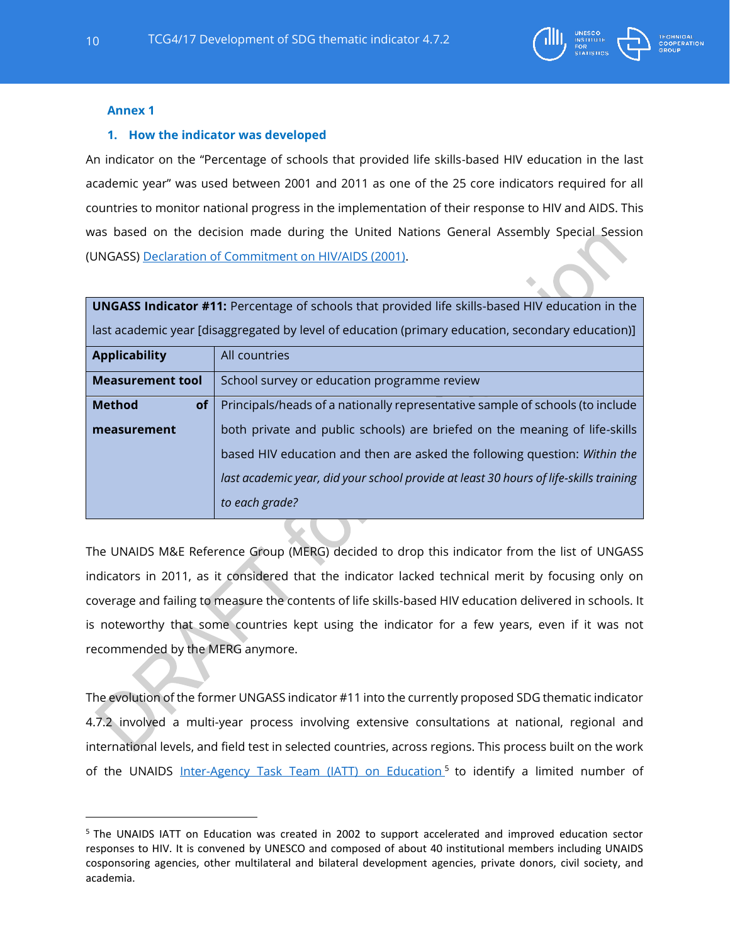

### **Annex 1**

### **1. How the indicator was developed**

An indicator on the "Percentage of schools that provided life skills-based HIV education in the last academic year" was used between 2001 and 2011 as one of the 25 core indicators required for all countries to monitor national progress in the implementation of their response to HIV and AIDS. This was based on the decision made during the United Nations General Assembly Special Session (UNGASS) Declaration of [Commitment on HIV/AIDS \(2001\).](http://www.unaids.org/sites/default/files/sub_landing/files/aidsdeclaration_en_0.pdf)

| <b>UNGASS Indicator #11:</b> Percentage of schools that provided life skills-based HIV education in the |                                                                                       |  |  |
|---------------------------------------------------------------------------------------------------------|---------------------------------------------------------------------------------------|--|--|
| last academic year [disaggregated by level of education (primary education, secondary education)]       |                                                                                       |  |  |
| <b>Applicability</b>                                                                                    | All countries                                                                         |  |  |
| <b>Measurement tool</b>                                                                                 | School survey or education programme review                                           |  |  |
| <b>Method</b><br>of <sub>1</sub>                                                                        | Principals/heads of a nationally representative sample of schools (to include         |  |  |
| measurement                                                                                             | both private and public schools) are briefed on the meaning of life-skills            |  |  |
|                                                                                                         | based HIV education and then are asked the following question: Within the             |  |  |
|                                                                                                         | last academic year, did your school provide at least 30 hours of life-skills training |  |  |
|                                                                                                         | to each grade?                                                                        |  |  |

The UNAIDS M&E Reference Group (MERG) decided to drop this indicator from the list of UNGASS indicators in 2011, as it considered that the indicator lacked technical merit by focusing only on coverage and failing to measure the contents of life skills-based HIV education delivered in schools. It is noteworthy that some countries kept using the indicator for a few years, even if it was not recommended by the MERG anymore.

The evolution of the former UNGASS indicator #11 into the currently proposed SDG thematic indicator 4.7.2 involved a multi-year process involving extensive consultations at national, regional and international levels, and field test in selected countries, across regions. This process built on the work of the UNAIDS <u>Inter-Agency Task [Team \(IATT\) on Education](http://www.unesco.org/new/en/hiv-and-aids/about-us/unaids-iatt-on-education/)<sup>5</sup> to identify a limited number of</u>

 $\overline{a}$ 

<sup>5</sup> The UNAIDS IATT on Education was created in 2002 to support accelerated and improved education sector responses to HIV. It is convened by UNESCO and composed of about 40 institutional members including UNAIDS cosponsoring agencies, other multilateral and bilateral development agencies, private donors, civil society, and academia.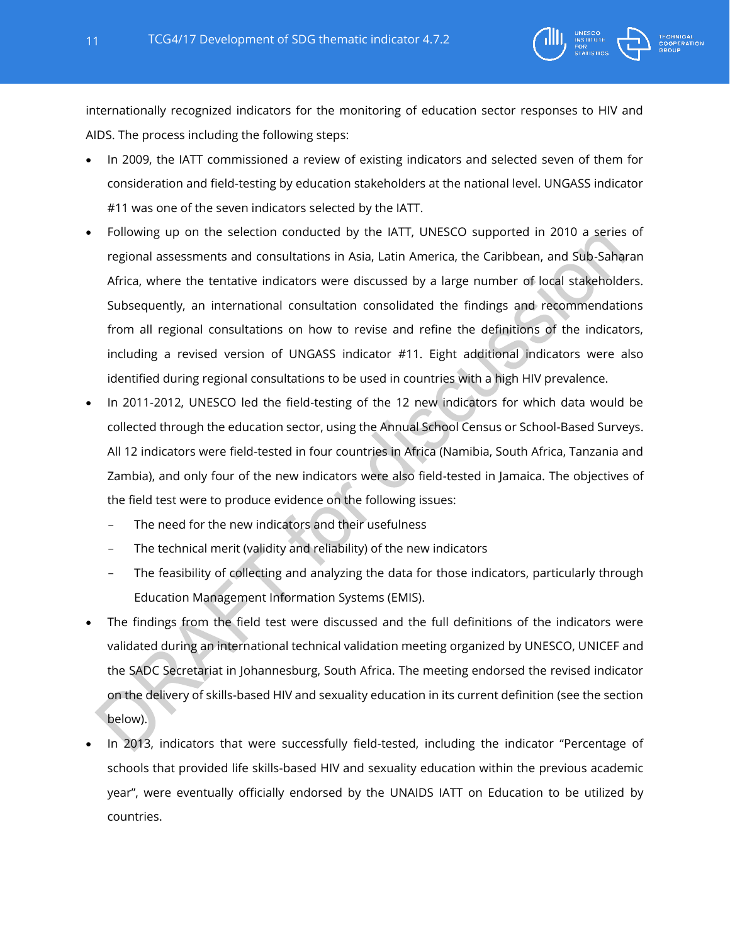

- In 2009, the IATT commissioned a review of existing indicators and selected seven of them for consideration and field-testing by education stakeholders at the national level. UNGASS indicator #11 was one of the seven indicators selected by the IATT.
- Following up on the selection conducted by the IATT, UNESCO supported in 2010 a series of regional assessments and consultations in Asia, Latin America, the Caribbean, and Sub-Saharan Africa, where the tentative indicators were discussed by a large number of local stakeholders. Subsequently, an international consultation consolidated the findings and recommendations from all regional consultations on how to revise and refine the definitions of the indicators, including a revised version of UNGASS indicator #11. Eight additional indicators were also identified during regional consultations to be used in countries with a high HIV prevalence.
- In 2011-2012, UNESCO led the field-testing of the 12 new indicators for which data would be collected through the education sector, using the Annual School Census or School-Based Surveys. All 12 indicators were field-tested in four countries in Africa (Namibia, South Africa, Tanzania and Zambia), and only four of the new indicators were also field-tested in Jamaica. The objectives of the field test were to produce evidence on the following issues:
	- The need for the new indicators and their usefulness
	- The technical merit (validity and reliability) of the new indicators
	- The feasibility of collecting and analyzing the data for those indicators, particularly through Education Management Information Systems (EMIS).
- The findings from the field test were discussed and the full definitions of the indicators were validated during an international technical validation meeting organized by UNESCO, UNICEF and the SADC Secretariat in Johannesburg, South Africa. The meeting endorsed the revised indicator on the delivery of skills-based HIV and sexuality education in its current definition (see the section below).
- In 2013, indicators that were successfully field-tested, including the indicator "Percentage of schools that provided life skills-based HIV and sexuality education within the previous academic year", were eventually officially endorsed by the UNAIDS IATT on Education to be utilized by countries.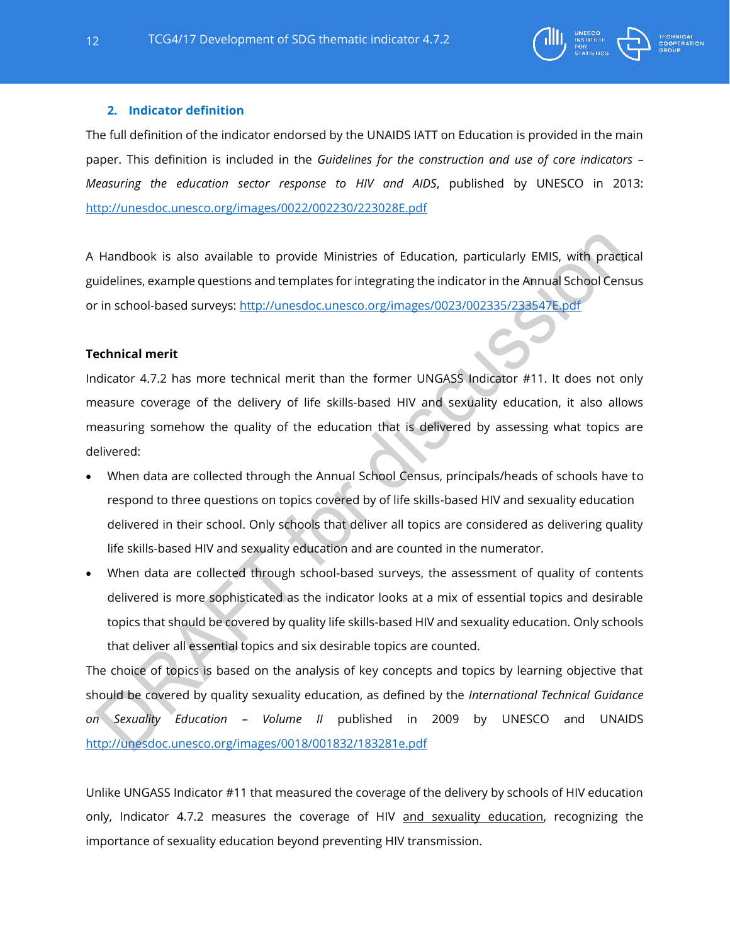

## **2. Indicator definition**

The full definition of the indicator endorsed by the UNAIDS IATT on Education is provided in the main paper. This definition is included in the *Guidelines for the construction and use of core indicators – Measuring the education sector response to HIV and AIDS*, published by UNESCO in 2013: <http://unesdoc.unesco.org/images/0022/002230/223028E.pdf>

A Handbook is also available to provide Ministries of Education, particularly EMIS, with practical guidelines, example questions and templates for integrating the indicator in the Annual School Census or in school-based surveys:<http://unesdoc.unesco.org/images/0023/002335/233547E.pdf>

## **Technical merit**

Indicator 4.7.2 has more technical merit than the former UNGASS Indicator #11. It does not only measure coverage of the delivery of life skills-based HIV and sexuality education, it also allows measuring somehow the quality of the education that is delivered by assessing what topics are delivered:

- When data are collected through the Annual School Census, principals/heads of schools have to respond to three questions on topics covered by of life skills-based HIV and sexuality education delivered in their school. Only schools that deliver all topics are considered as delivering quality life skills-based HIV and sexuality education and are counted in the numerator.
- When data are collected through school-based surveys, the assessment of quality of contents delivered is more sophisticated as the indicator looks at a mix of essential topics and desirable topics that should be covered by quality life skills-based HIV and sexuality education. Only schools that deliver all essential topics and six desirable topics are counted.

The choice of topics is based on the analysis of key concepts and topics by learning objective that should be covered by quality sexuality education, as defined by the *International Technical Guidance on Sexuality Education – Volume II* published in 2009 by UNESCO and UNAIDS <http://unesdoc.unesco.org/images/0018/001832/183281e.pdf>

Unlike UNGASS Indicator #11 that measured the coverage of the delivery by schools of HIV education only, Indicator 4.7.2 measures the coverage of HIV and sexuality education, recognizing the importance of sexuality education beyond preventing HIV transmission.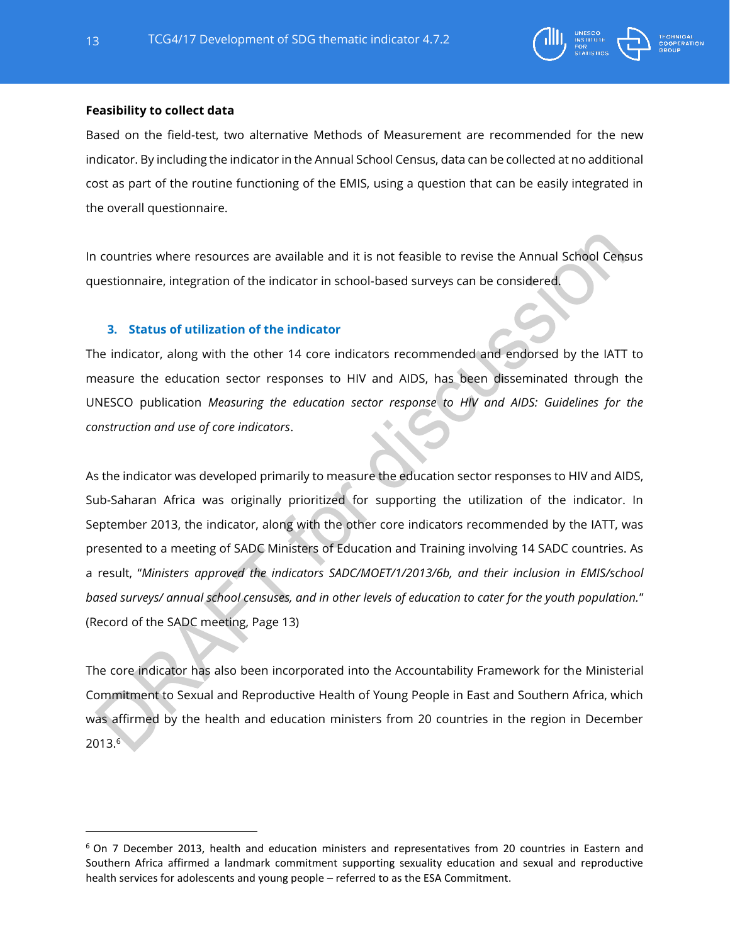

## **Feasibility to collect data**

Based on the field-test, two alternative Methods of Measurement are recommended for the new indicator. By including the indicator in the Annual School Census, data can be collected at no additional cost as part of the routine functioning of the EMIS, using a question that can be easily integrated in the overall questionnaire.

In countries where resources are available and it is not feasible to revise the Annual School Census questionnaire, integration of the indicator in school-based surveys can be considered.

### **3. Status of utilization of the indicator**

The indicator, along with the other 14 core indicators recommended and endorsed by the IATT to measure the education sector responses to HIV and AIDS, has been disseminated through the UNESCO publication *Measuring the education sector response to HIV and AIDS: Guidelines for the construction and use of core indicators*.

As the indicator was developed primarily to measure the education sector responses to HIV and AIDS, Sub-Saharan Africa was originally prioritized for supporting the utilization of the indicator. In September 2013, the indicator, along with the other core indicators recommended by the IATT, was presented to a meeting of SADC Ministers of Education and Training involving 14 SADC countries. As a result, "*Ministers approved the indicators SADC/MOET/1/2013/6b, and their inclusion in EMIS/school based surveys/ annual school censuses, and in other levels of education to cater for the youth population.*" (Record of the SADC meeting, Page 13)

The core indicator has also been incorporated into the Accountability Framework for the Ministerial Commitment to Sexual and Reproductive Health of Young People in East and Southern Africa, which was affirmed by the health and education ministers from 20 countries in the region in December  $2013.<sup>6</sup>$ 

<sup>&</sup>lt;sup>6</sup> On 7 December 2013, health and education ministers and representatives from 20 countries in Eastern and Southern Africa affirmed a landmark commitment supporting sexuality education and sexual and reproductive health services for adolescents and young people – referred to as the ESA Commitment.